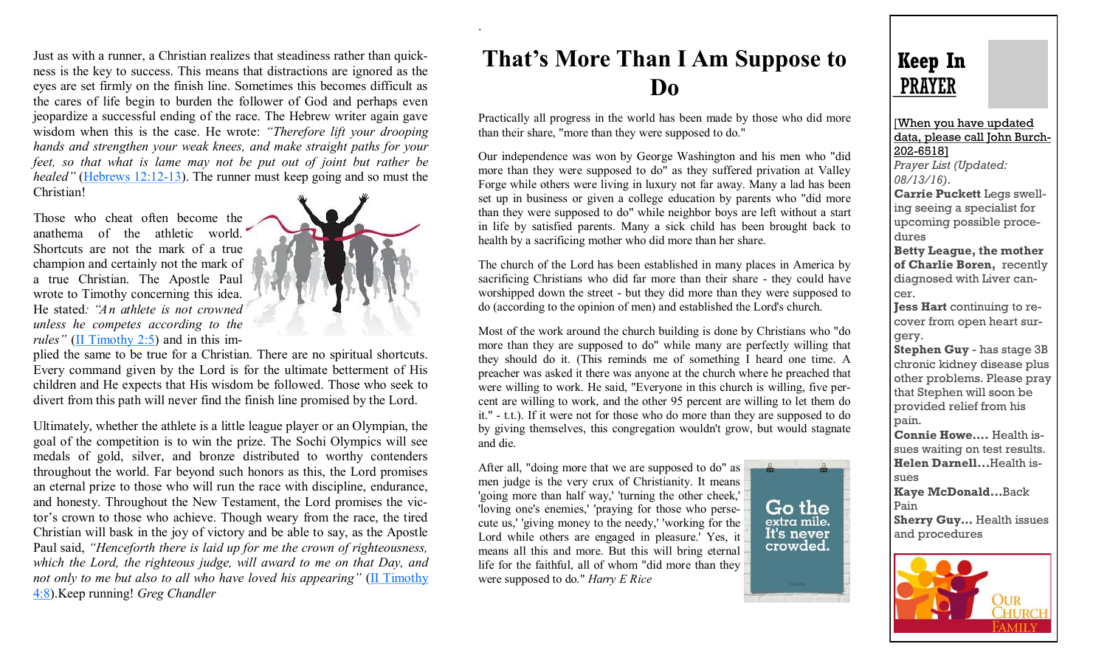Just as with a runner, a Christian realizes that steadiness rather than quickness is the key to success. This means that distractions are ignored as the eyes are set firmly on the finish line. Sometimes this becomes difficult as the cares of life begin to burden the follower of God and perhaps even jeopardize a successful ending of the race. The Hebrew writer again gave wisdom when this is the case. He wrote: *"Therefore lift your drooping hands and strengthen your weak knees, and make straight paths for your feet, so that what is lame may not be put out of joint but rather be healed"* [\(Hebrews 12:12](http://biblia.com/bible/esv/Hebrews%2012.12-13)-13). The runner must keep going and so must the Christian!

Those who cheat often become the anathema of the athletic world. Shortcuts are not the mark of a true champion and certainly not the mark of a true Christian. The Apostle Paul wrote to Timothy concerning this idea. He stated*: "An athlete is not crowned unless he competes according to the rules*" ([II Timothy 2:5\)](http://biblia.com/bible/esv/II%20Timothy%202.5) and in this im-



.

plied the same to be true for a Christian. There are no spiritual shortcuts. Every command given by the Lord is for the ultimate betterment of His children and He expects that His wisdom be followed. Those who seek to divert from this path will never find the finish line promised by the Lord.

Ultimately, whether the athlete is a little league player or an Olympian, the goal of the competition is to win the prize. The Sochi Olympics will see medals of gold, silver, and bronze distributed to worthy contenders throughout the world. Far beyond such honors as this, the Lord promises an eternal prize to those who will run the race with discipline, endurance, and honesty. Throughout the New Testament, the Lord promises the victor's crown to those who achieve. Though weary from the race, the tired Christian will bask in the joy of victory and be able to say, as the Apostle Paul said, *"Henceforth there is laid up for me the crown of righteousness, which the Lord, the righteous judge, will award to me on that Day, and not only to me but also to all who have loved his appearing*" (II Timothy [4:8\).](http://biblia.com/bible/esv/II%20Timothy%204.8)Keep running! *Greg Chandler*

## **That's More Than I Am Suppose to Do**

Practically all progress in the world has been made by those who did more than their share, "more than they were supposed to do."

Our independence was won by George Washington and his men who "did more than they were supposed to do" as they suffered privation at Valley Forge while others were living in luxury not far away. Many a lad has been set up in business or given a college education by parents who "did more than they were supposed to do" while neighbor boys are left without a start in life by satisfied parents. Many a sick child has been brought back to health by a sacrificing mother who did more than her share.

The church of the Lord has been established in many places in America by sacrificing Christians who did far more than their share - they could have worshipped down the street - but they did more than they were supposed to do (according to the opinion of men) and established the Lord's church.

Most of the work around the church building is done by Christians who "do more than they are supposed to do" while many are perfectly willing that they should do it. (This reminds me of something I heard one time. A preacher was asked it there was anyone at the church where he preached that were willing to work. He said, "Everyone in this church is willing, five percent are willing to work, and the other 95 percent are willing to let them do it." - t.t.). If it were not for those who do more than they are supposed to do by giving themselves, this congregation wouldn't grow, but would stagnate and die.

After all, "doing more that we are supposed to do" as men judge is the very crux of Christianity. It means 'going more than half way,' 'turning the other cheek,' 'loving one's enemies,' 'praying for those who persecute us,' 'giving money to the needy,' 'working for the Lord while others are engaged in pleasure.' Yes, it means all this and more. But this will bring eternal life for the faithful, all of whom "did more than they were supposed to do." *Harry E Rice*

## Go the extra mile. It's never crowded.



[When you have updated data, please call John Burch-202-6518] *Prayer List (Updated: 08/13/16)*. **Carrie Puckett** Legs swelling seeing a specialist for upcoming possible procedures **Betty League, the mother of Charlie Boren,** recently diagnosed with Liver cancer. **Jess Hart** continuing to recover from open heart surgery. **Stephen Guy** - has stage 3B chronic kidney disease plus other problems. Please pray

that Stephen will soon be provided relief from his pain.

**Connie Howe….** Health issues waiting on test results. **Helen Darnell...**Health issues

**Kaye McDonald...**Back Pain

**Sherry Guy... Health issues** and procedures